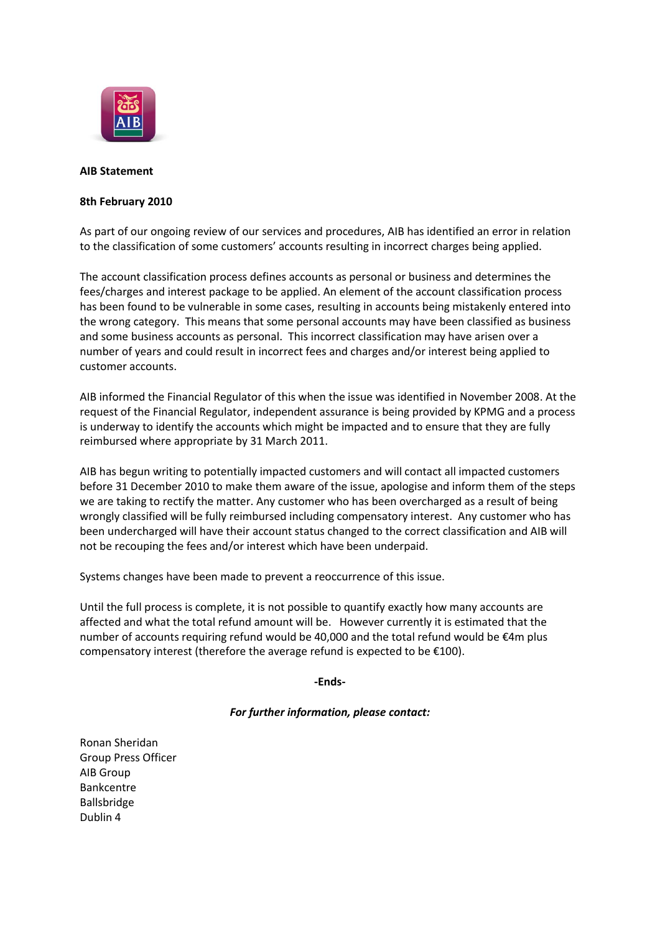

## **AIB Statement**

## **8th February 2010**

As part of our ongoing review of our services and procedures, AIB has identified an error in relation to the classification of some customers' accounts resulting in incorrect charges being applied.

The account classification process defines accounts as personal or business and determines the fees/charges and interest package to be applied. An element of the account classification process has been found to be vulnerable in some cases, resulting in accounts being mistakenly entered into the wrong category. This means that some personal accounts may have been classified as business and some business accounts as personal. This incorrect classification may have arisen over a number of years and could result in incorrect fees and charges and/or interest being applied to customer accounts.

AIB informed the Financial Regulator of this when the issue was identified in November 2008. At the request of the Financial Regulator, independent assurance is being provided by KPMG and a process is underway to identify the accounts which might be impacted and to ensure that they are fully reimbursed where appropriate by 31 March 2011.

AIB has begun writing to potentially impacted customers and will contact all impacted customers before 31 December 2010 to make them aware of the issue, apologise and inform them of the steps we are taking to rectify the matter. Any customer who has been overcharged as a result of being wrongly classified will be fully reimbursed including compensatory interest. Any customer who has been undercharged will have their account status changed to the correct classification and AIB will not be recouping the fees and/or interest which have been underpaid.

Systems changes have been made to prevent a reoccurrence of this issue.

Until the full process is complete, it is not possible to quantify exactly how many accounts are affected and what the total refund amount will be. However currently it is estimated that the number of accounts requiring refund would be 40,000 and the total refund would be €4m plus compensatory interest (therefore the average refund is expected to be €100).

## **-Ends-**

## *For further information, please contact:*

Ronan Sheridan Group Press Officer AIB Group Bankcentre Ballsbridge Dublin 4